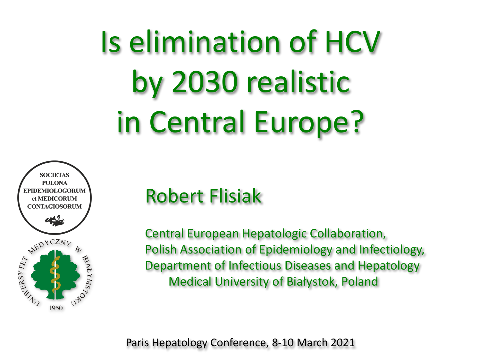Is elimination of HCV by 2030 realistic in Central Europe?



# Robert Flisiak

Central European Hepatologic Collaboration, Polish Association of Epidemiology and Infectiology, Department of Infectious Diseases and Hepatology Medical University of Białystok, Poland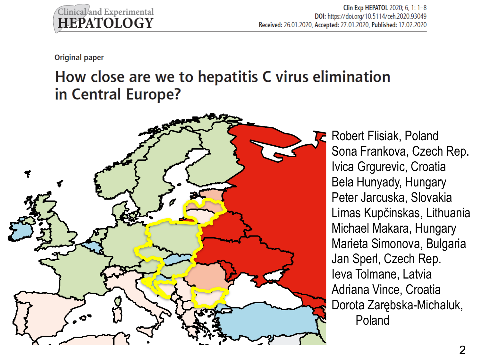**Original paper** 

## How close are we to hepatitis C virus elimination in Central Europe?



Robert Flisiak, Poland Sona Frankova, Czech Rep. Ivica Grgurevic, Croatia Bela Hunyady, Hungary Peter Jarcuska, Slovakia Limas Kupčinskas, Lithuania Michael Makara, Hungary Marieta Simonova, Bulgaria Jan Sperl, Czech Rep. Ieva Tolmane, Latvia Adriana Vince, Croatia Dorota Zarębska-Michaluk, Poland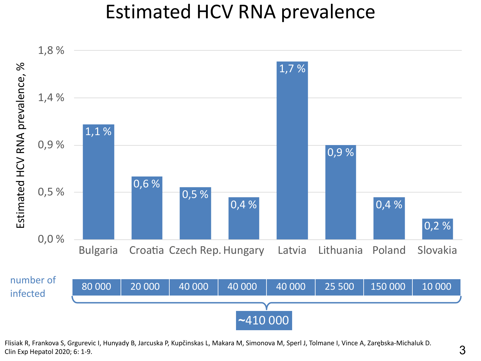## Estimated HCV RNA prevalence

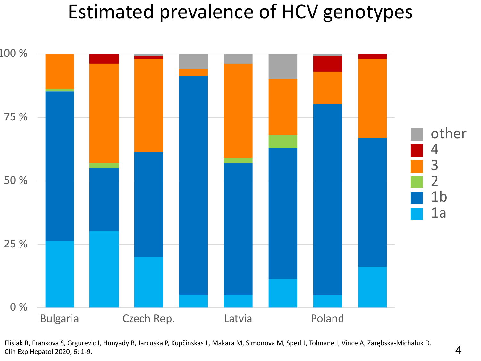# Estimated prevalence of HCV genotypes

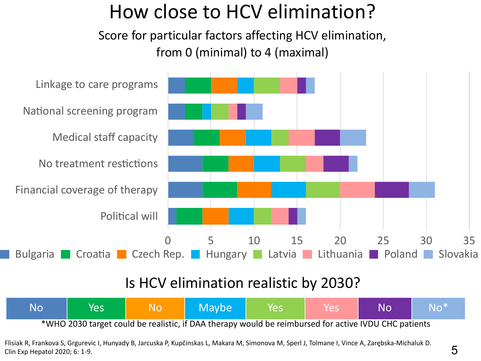# How close to HCV elimination?

Score for particular factors affecting HCV elimination, from 0 (minimal) to 4 (maximal)



#### Is HCV elimination realistic by 2030?

| No                                                                                                   | Yes | No | Maybe | <b>Yes</b> | Yes | <b>No</b> | lNo* |
|------------------------------------------------------------------------------------------------------|-----|----|-------|------------|-----|-----------|------|
| *WHO 2030 target could be realistic, if DAA therapy would be reimbursed for active IVDU CHC patients |     |    |       |            |     |           |      |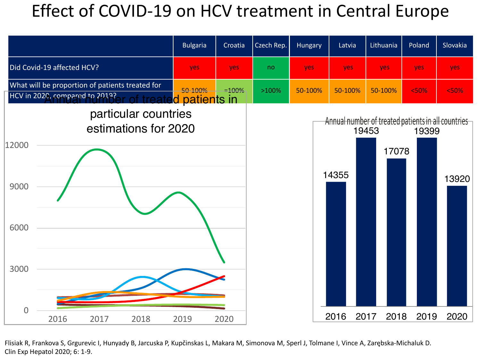## Effect of COVID-19 on HCV treatment in Central Europe

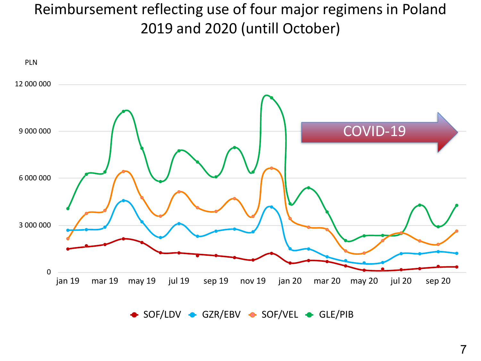### Reimbursement reflecting use of four major regimens in Poland 2019 and 2020 (untill October)



 $\bullet$  SOF/LDV  $\bullet$  GZR/EBV  $\bullet$  SOF/VEL  $\bullet$  GLE/PIB